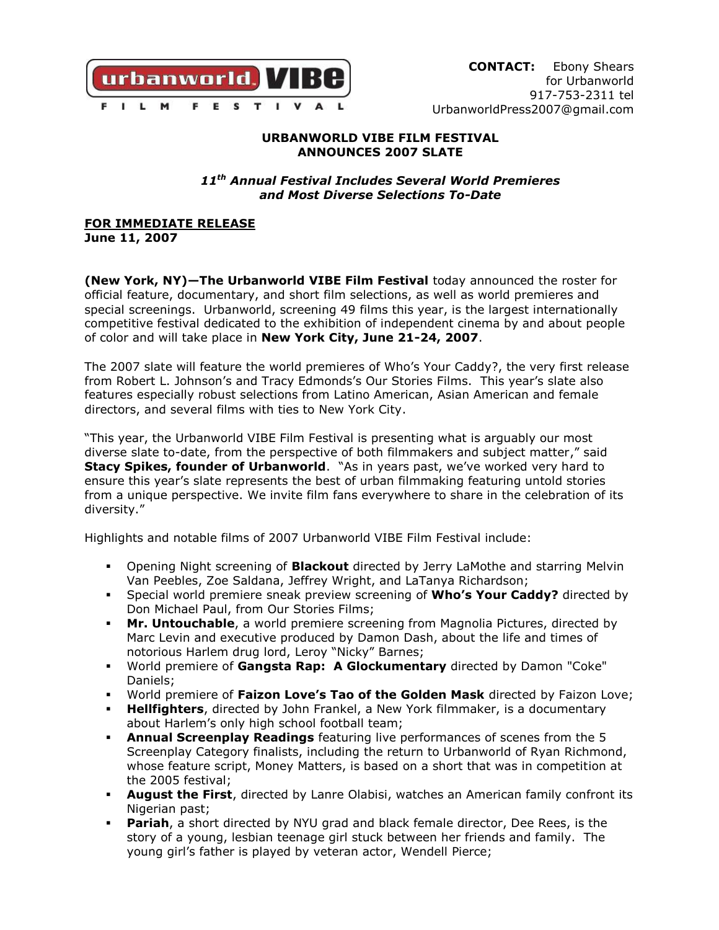

### **URBANWORLD VIBE FILM FESTIVAL ANNOUNCES 2007 SLATE**

*11th Annual Festival Includes Several World Premieres and Most Diverse Selections To-Date*

**FOR IMMEDIATE RELEASE June 11, 2007**

**(New York, NY)—The Urbanworld VIBE Film Festival** today announced the roster for official feature, documentary, and short film selections, as well as world premieres and special screenings. Urbanworld, screening 49 films this year, is the largest internationally competitive festival dedicated to the exhibition of independent cinema by and about people of color and will take place in **New York City, June 21-24, 2007**.

The 2007 slate will feature the world premieres of Who's Your Caddy?, the very first release from Robert L. Johnson's and Tracy Edmonds's Our Stories Films. This year's slate also features especially robust selections from Latino American, Asian American and female directors, and several films with ties to New York City.

"This year, the Urbanworld VIBE Film Festival is presenting what is arguably our most diverse slate to-date, from the perspective of both filmmakers and subject matter," said **Stacy Spikes, founder of Urbanworld.** "As in years past, we've worked very hard to ensure this year's slate represents the best of urban filmmaking featuring untold stories from a unique perspective. We invite film fans everywhere to share in the celebration of its diversity."

Highlights and notable films of 2007 Urbanworld VIBE Film Festival include:

- Opening Night screening of **Blackout** directed by Jerry LaMothe and starring Melvin Van Peebles, Zoe Saldana, Jeffrey Wright, and LaTanya Richardson;
- Special world premiere sneak preview screening of **Who's Your Caddy?** directed by Don Michael Paul, from Our Stories Films;
- **Mr. Untouchable**, a world premiere screening from Magnolia Pictures, directed by Marc Levin and executive produced by Damon Dash, about the life and times of notorious Harlem drug lord, Leroy "Nicky" Barnes;
- World premiere of **Gangsta Rap: A Glockumentary** directed by Damon "Coke" Daniels;
- World premiere of **Faizon Love's Tao of the Golden Mask** directed by Faizon Love;
- **Hellfighters**, directed by John Frankel, a New York filmmaker, is a documentary about Harlem's only high school football team;
- **Annual Screenplay Readings** featuring live performances of scenes from the 5 Screenplay Category finalists, including the return to Urbanworld of Ryan Richmond, whose feature script, Money Matters, is based on a short that was in competition at the 2005 festival;
- **August the First**, directed by Lanre Olabisi, watches an American family confront its Nigerian past;
- **Pariah**, a short directed by NYU grad and black female director, Dee Rees, is the story of a young, lesbian teenage girl stuck between her friends and family. The young girl's father is played by veteran actor, Wendell Pierce;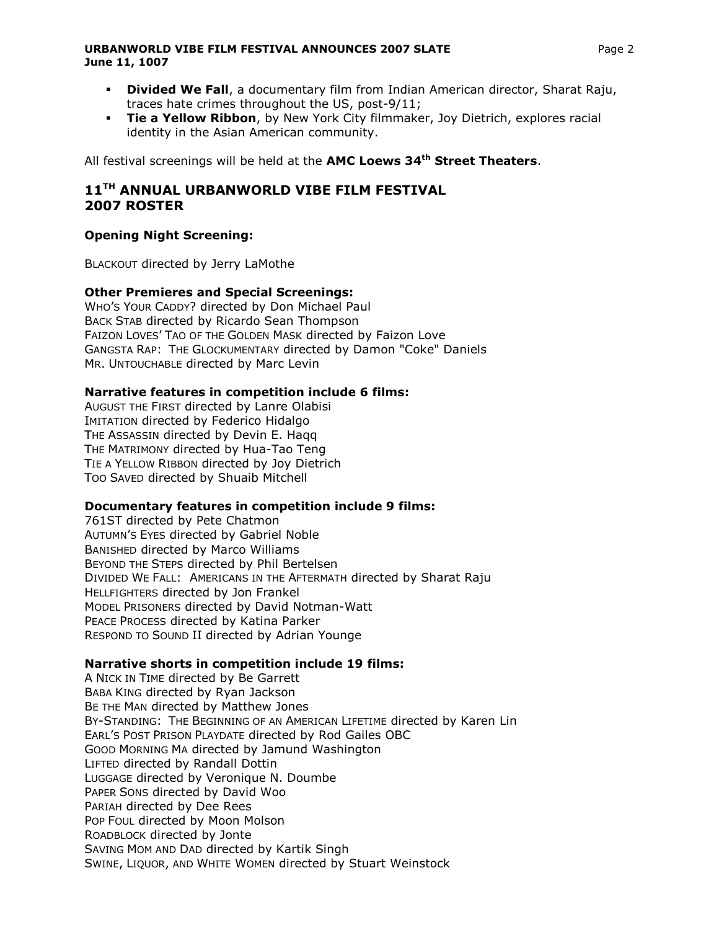#### **URBANWORLD VIBE FILM FESTIVAL ANNOUNCES 2007 SLATE** FOR CHARGE 2007 STATE **June 11, 1007**

- **Divided We Fall**, a documentary film from Indian American director, Sharat Raju, traces hate crimes throughout the US, post-9/11;
- **Tie a Yellow Ribbon**, by New York City filmmaker, Joy Dietrich, explores racial identity in the Asian American community.

All festival screenings will be held at the **AMC Loews 34th Street Theaters**.

# **11TH ANNUAL URBANWORLD VIBE FILM FESTIVAL 2007 ROSTER**

### **Opening Night Screening:**

BLACKOUT directed by Jerry LaMothe

## **Other Premieres and Special Screenings:**

WHO'S YOUR CADDY? directed by Don Michael Paul BACK STAB directed by Ricardo Sean Thompson FAIZON LOVES' TAO OF THE GOLDEN MASK directed by Faizon Love GANGSTA RAP: THE GLOCKUMENTARY directed by Damon "Coke" Daniels MR. UNTOUCHABLE directed by Marc Levin

### **Narrative features in competition include 6 films:**

AUGUST THE FIRST directed by Lanre Olabisi IMITATION directed by Federico Hidalgo THE ASSASSIN directed by Devin E. Haqq THE MATRIMONY directed by Hua-Tao Teng TIE A YELLOW RIBBON directed by Joy Dietrich TOO SAVED directed by Shuaib Mitchell

### **Documentary features in competition include 9 films:**

761ST directed by Pete Chatmon AUTUMN'S EYES directed by Gabriel Noble BANISHED directed by Marco Williams BEYOND THE STEPS directed by Phil Bertelsen DIVIDED WE FALL: AMERICANS IN THE AFTERMATH directed by Sharat Raju HELLFIGHTERS directed by Jon Frankel MODEL PRISONERS directed by David Notman-Watt PEACE PROCESS directed by Katina Parker RESPOND TO SOUND II directed by Adrian Younge

### **Narrative shorts in competition include 19 films:**

A NICK IN TIME directed by Be Garrett BABA KING directed by Ryan Jackson BE THE MAN directed by Matthew Jones BY-STANDING: THE BEGINNING OF AN AMERICAN LIFETIME directed by Karen Lin EARL'S POST PRISON PLAYDATE directed by Rod Gailes OBC GOOD MORNING MA directed by Jamund Washington LIFTED directed by Randall Dottin LUGGAGE directed by Veronique N. Doumbe PAPER SONS directed by David Woo PARIAH directed by Dee Rees POP FOUL directed by Moon Molson ROADBLOCK directed by Jonte SAVING MOM AND DAD directed by Kartik Singh SWINE, LIQUOR, AND WHITE WOMEN directed by Stuart Weinstock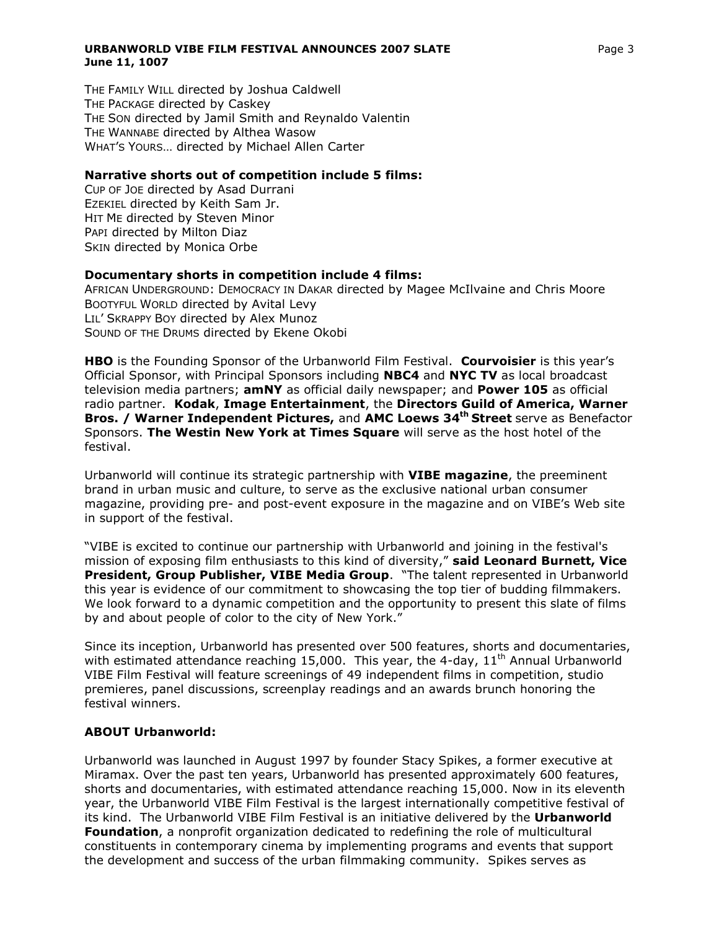#### **URBANWORLD VIBE FILM FESTIVAL ANNOUNCES 2007 SLATE** Page 3 **June 11, 1007**

THE FAMILY WILL directed by Joshua Caldwell THE PACKAGE directed by Caskey THE SON directed by Jamil Smith and Reynaldo Valentin THE WANNABE directed by Althea Wasow WHAT'S YOURS… directed by Michael Allen Carter

#### **Narrative shorts out of competition include 5 films:**

CUP OF JOE directed by Asad Durrani EZEKIEL directed by Keith Sam Jr. HIT ME directed by Steven Minor PAPI directed by Milton Diaz SKIN directed by Monica Orbe

#### **Documentary shorts in competition include 4 films:**

AFRICAN UNDERGROUND: DEMOCRACY IN DAKAR directed by Magee McIlvaine and Chris Moore BOOTYFUL WORLD directed by Avital Levy LIL' SKRAPPY BOY directed by Alex Munoz SOUND OF THE DRUMS directed by Ekene Okobi

**HBO** is the Founding Sponsor of the Urbanworld Film Festival. **Courvoisier** is this year's Official Sponsor, with Principal Sponsors including **NBC4** and **NYC TV** as local broadcast television media partners; **amNY** as official daily newspaper; and **Power 105** as official radio partner. **Kodak**, **Image Entertainment**, the **Directors Guild of America, Warner Bros. / Warner Independent Pictures,** and **AMC Loews 34th Street** serve as Benefactor Sponsors. **The Westin New York at Times Square** will serve as the host hotel of the festival.

Urbanworld will continue its strategic partnership with **VIBE magazine**, the preeminent brand in urban music and culture, to serve as the exclusive national urban consumer magazine, providing pre- and post-event exposure in the magazine and on VIBE's Web site in support of the festival.

"VIBE is excited to continue our partnership with Urbanworld and joining in the festival's mission of exposing film enthusiasts to this kind of diversity," **said Leonard Burnett, Vice President, Group Publisher, VIBE Media Group**. "The talent represented in Urbanworld this year is evidence of our commitment to showcasing the top tier of budding filmmakers. We look forward to a dynamic competition and the opportunity to present this slate of films by and about people of color to the city of New York."

Since its inception, Urbanworld has presented over 500 features, shorts and documentaries, with estimated attendance reaching 15,000. This year, the 4-day,  $11<sup>th</sup>$  Annual Urbanworld VIBE Film Festival will feature screenings of 49 independent films in competition, studio premieres, panel discussions, screenplay readings and an awards brunch honoring the festival winners.

### **ABOUT Urbanworld:**

Urbanworld was launched in August 1997 by founder Stacy Spikes, a former executive at Miramax. Over the past ten years, Urbanworld has presented approximately 600 features, shorts and documentaries, with estimated attendance reaching 15,000. Now in its eleventh year, the Urbanworld VIBE Film Festival is the largest internationally competitive festival of its kind. The Urbanworld VIBE Film Festival is an initiative delivered by the **Urbanworld Foundation**, a nonprofit organization dedicated to redefining the role of multicultural constituents in contemporary cinema by implementing programs and events that support the development and success of the urban filmmaking community. Spikes serves as